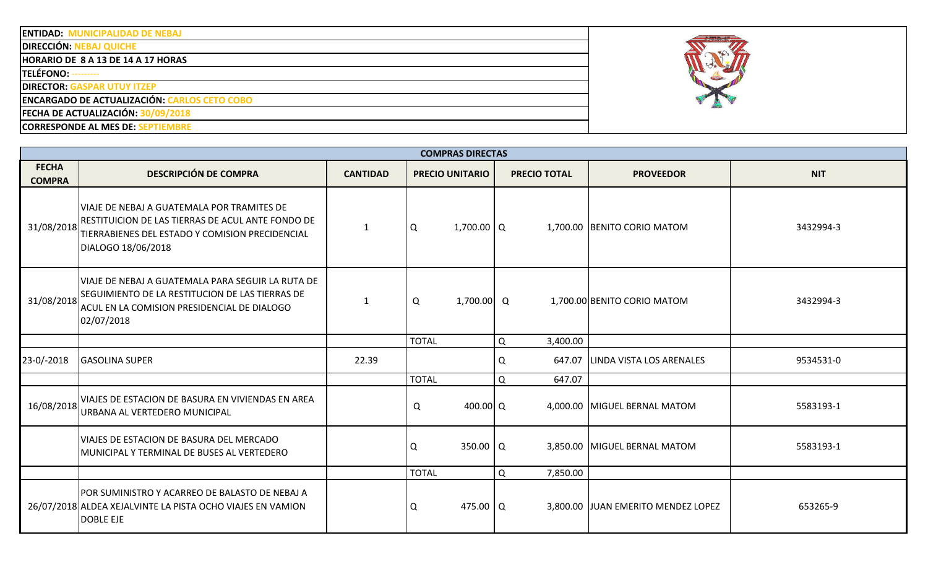| <b>ENTIDAD: MUNICIPALIDAD DE NEBAJ</b> |
|----------------------------------------|
|----------------------------------------|

**DIRECCIÓN: NEBAJ QUICHE** 

**HORARIO DE 8 A 13 DE 14 A 17 HORAS**

**TELÉFONO:** ---------

**DIRECTOR: GASPAR UTUY ITZEP**

**ENCARGADO DE ACTUALIZACIÓN: CARLOS CETO COBO**

**FECHA DE ACTUALIZACIÓN: 30/09/2018**

**CORRESPONDE AL MES DE: SEPTIEMBRE**

|                               | <b>COMPRAS DIRECTAS</b>                                                                                                                                                  |                 |                        |   |                     |                                     |            |  |  |  |  |  |
|-------------------------------|--------------------------------------------------------------------------------------------------------------------------------------------------------------------------|-----------------|------------------------|---|---------------------|-------------------------------------|------------|--|--|--|--|--|
| <b>FECHA</b><br><b>COMPRA</b> | <b>DESCRIPCIÓN DE COMPRA</b>                                                                                                                                             | <b>CANTIDAD</b> | <b>PRECIO UNITARIO</b> |   | <b>PRECIO TOTAL</b> | <b>PROVEEDOR</b>                    | <b>NIT</b> |  |  |  |  |  |
| 31/08/2018                    | VIAJE DE NEBAJ A GUATEMALA POR TRAMITES DE<br>RESTITUICION DE LAS TIERRAS DE ACUL ANTE FONDO DE<br>TIERRABIENES DEL ESTADO Y COMISION PRECIDENCIAL<br>DIALOGO 18/06/2018 | 1               | $1,700.00$ Q<br>Q      |   |                     | 1,700.00 BENITO CORIO MATOM         | 3432994-3  |  |  |  |  |  |
| 31/08/2018                    | VIAJE DE NEBAJ A GUATEMALA PARA SEGUIR LA RUTA DE<br>SEGUIMIENTO DE LA RESTITUCION DE LAS TIERRAS DE<br>ACUL EN LA COMISION PRESIDENCIAL DE DIALOGO<br>02/07/2018        | $\mathbf 1$     | Q<br>1,700.00 Q        |   |                     | 1,700.00 BENITO CORIO MATOM         | 3432994-3  |  |  |  |  |  |
|                               |                                                                                                                                                                          |                 | <b>TOTAL</b>           | Q | 3,400.00            |                                     |            |  |  |  |  |  |
| 23-0/-2018                    | <b>GASOLINA SUPER</b>                                                                                                                                                    | 22.39           |                        | Q | 647.07              | <b>LINDA VISTA LOS ARENALES</b>     | 9534531-0  |  |  |  |  |  |
|                               |                                                                                                                                                                          |                 | <b>TOTAL</b>           | Q | 647.07              |                                     |            |  |  |  |  |  |
| 16/08/2018                    | VIAJES DE ESTACION DE BASURA EN VIVIENDAS EN AREA<br>URBANA AL VERTEDERO MUNICIPAL                                                                                       |                 | Q<br>400.00 Q          |   |                     | 4,000.00 MIGUEL BERNAL MATOM        | 5583193-1  |  |  |  |  |  |
|                               | VIAJES DE ESTACION DE BASURA DEL MERCADO<br>MUNICIPAL Y TERMINAL DE BUSES AL VERTEDERO                                                                                   |                 | 350.00   Q<br>Q        |   |                     | 3,850.00 MIGUEL BERNAL MATOM        | 5583193-1  |  |  |  |  |  |
|                               |                                                                                                                                                                          |                 | <b>TOTAL</b>           | Q | 7,850.00            |                                     |            |  |  |  |  |  |
|                               | POR SUMINISTRO Y ACARREO DE BALASTO DE NEBAJ A<br>26/07/2018 ALDEA XEJALVINTE LA PISTA OCHO VIAJES EN VAMION<br><b>DOBLE EJE</b>                                         |                 | 475.00 $\sqrt{Q}$<br>Q |   |                     | 3,800.00 JJUAN EMERITO MENDEZ LOPEZ | 653265-9   |  |  |  |  |  |

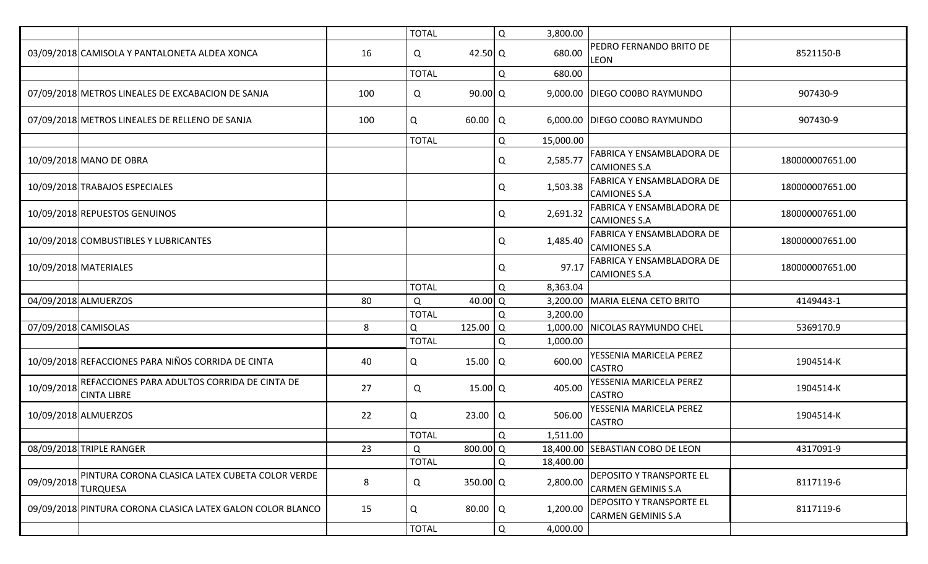|                      |                                                                    |     | <b>TOTAL</b> |            | Q            | 3,800.00  |                                                              |                 |
|----------------------|--------------------------------------------------------------------|-----|--------------|------------|--------------|-----------|--------------------------------------------------------------|-----------------|
|                      | 03/09/2018 CAMISOLA Y PANTALONETA ALDEA XONCA                      | 16  | Q            | 42.50 Q    |              | 680.00    | <b>PEDRO FERNANDO BRITO DE</b><br><b>LEON</b>                | 8521150-B       |
|                      |                                                                    |     | <b>TOTAL</b> |            | Q            | 680.00    |                                                              |                 |
|                      | 07/09/2018 METROS LINEALES DE EXCABACION DE SANJA                  | 100 | Q            | $90.00$ Q  |              |           | 9,000.00 DIEGO CO0BO RAYMUNDO                                | 907430-9        |
|                      | 07/09/2018 METROS LINEALES DE RELLENO DE SANJA                     | 100 | Q            | 60.00      | Q            |           | 6,000.00 DIEGO CO0BO RAYMUNDO                                | 907430-9        |
|                      |                                                                    |     | <b>TOTAL</b> |            | Q            | 15,000.00 |                                                              |                 |
|                      | 10/09/2018 MANO DE OBRA                                            |     |              |            | Q            | 2,585.77  | <b>FABRICA Y ENSAMBLADORA DE</b><br><b>CAMIONES S.A</b>      | 180000007651.00 |
|                      | 10/09/2018 TRABAJOS ESPECIALES                                     |     |              |            | Q            | 1,503.38  | <b>FABRICA Y ENSAMBLADORA DE</b><br><b>CAMIONES S.A</b>      | 180000007651.00 |
|                      | 10/09/2018 REPUESTOS GENUINOS                                      |     |              |            | Q            | 2,691.32  | <b>FABRICA Y ENSAMBLADORA DE</b><br><b>CAMIONES S.A</b>      | 180000007651.00 |
|                      | 10/09/2018 COMBUSTIBLES Y LUBRICANTES                              |     |              |            | Q            | 1,485.40  | <b>FABRICA Y ENSAMBLADORA DE</b><br><b>CAMIONES S.A</b>      | 180000007651.00 |
|                      | 10/09/2018 MATERIALES                                              |     |              |            | Q            | 97.17     | <b>FABRICA Y ENSAMBLADORA DE</b><br><b>CAMIONES S.A</b>      | 180000007651.00 |
|                      |                                                                    |     | <b>TOTAL</b> |            | Q            | 8,363.04  |                                                              |                 |
|                      | 04/09/2018 ALMUERZOS                                               | 80  | Q            | 40.00 Q    |              | 3,200.00  | MARIA ELENA CETO BRITO                                       | 4149443-1       |
|                      |                                                                    |     | <b>TOTAL</b> |            | Q            | 3,200.00  |                                                              |                 |
| 07/09/2018 CAMISOLAS |                                                                    | 8   | Q            | 125.00 Q   |              |           | 1,000.00 NICOLAS RAYMUNDO CHEL                               | 5369170.9       |
|                      |                                                                    |     | <b>TOTAL</b> |            | Q            | 1,000.00  |                                                              |                 |
|                      | 10/09/2018 REFACCIONES PARA NIÑOS CORRIDA DE CINTA                 | 40  | Q            | 15.00      | Q            | 600.00    | YESSENIA MARICELA PEREZ<br><b>CASTRO</b>                     | 1904514-K       |
| 10/09/2018           | REFACCIONES PARA ADULTOS CORRIDA DE CINTA DE<br><b>CINTA LIBRE</b> | 27  | Q            | $15.00$ Q  |              | 405.00    | YESSENIA MARICELA PEREZ<br><b>CASTRO</b>                     | 1904514-K       |
|                      | 10/09/2018 ALMUERZOS                                               | 22  | Q            | 23.00      | Q            | 506.00    | YESSENIA MARICELA PEREZ<br><b>CASTRO</b>                     | 1904514-K       |
|                      |                                                                    |     | <b>TOTAL</b> |            | $\mathsf{Q}$ | 1,511.00  |                                                              |                 |
|                      | 08/09/2018 TRIPLE RANGER                                           | 23  | Q            | $800.00$ Q |              |           | 18,400.00 SEBASTIAN COBO DE LEON                             | 4317091-9       |
|                      |                                                                    |     | <b>TOTAL</b> |            | Q            | 18,400.00 |                                                              |                 |
| 09/09/2018           | PINTURA CORONA CLASICA LATEX CUBETA COLOR VERDE<br>TURQUESA        | 8   | Q            | 350.00 Q   |              | 2,800.00  | <b>DEPOSITO Y TRANSPORTE EL</b><br><b>CARMEN GEMINIS S.A</b> | 8117119-6       |
|                      | 09/09/2018 PINTURA CORONA CLASICA LATEX GALON COLOR BLANCO         | 15  | Q            | $80.00$ Q  |              | 1,200.00  | <b>DEPOSITO Y TRANSPORTE EL</b><br><b>CARMEN GEMINIS S.A</b> | 8117119-6       |
|                      |                                                                    |     | <b>TOTAL</b> |            | Q            | 4,000.00  |                                                              |                 |
|                      |                                                                    |     |              |            |              |           |                                                              |                 |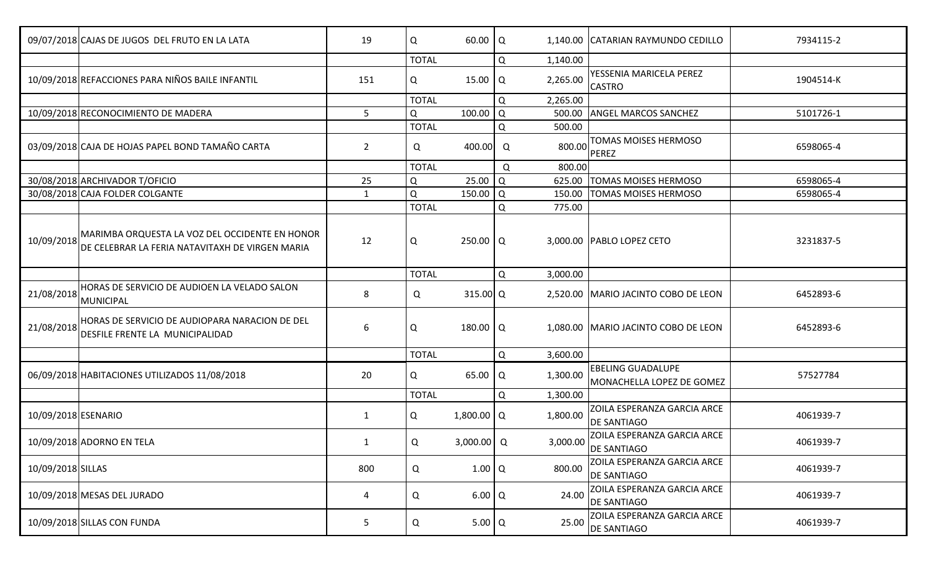|                     | 09/07/2018 CAJAS DE JUGOS DEL FRUTO EN LA LATA                                                    | 19          | Q            | 60.00   Q         |   |          | 1,140.00 CATARIAN RAYMUNDO CEDILLO                                                                      | 7934115-2 |
|---------------------|---------------------------------------------------------------------------------------------------|-------------|--------------|-------------------|---|----------|---------------------------------------------------------------------------------------------------------|-----------|
|                     |                                                                                                   |             | <b>TOTAL</b> |                   | Q | 1,140.00 |                                                                                                         |           |
|                     | 10/09/2018 REFACCIONES PARA NIÑOS BAILE INFANTIL                                                  | 151         | Q            | 15.00             | Q | 2,265.00 | YESSENIA MARICELA PEREZ<br><b>CASTRO</b>                                                                | 1904514-K |
|                     |                                                                                                   |             | <b>TOTAL</b> |                   | Q | 2,265.00 |                                                                                                         |           |
|                     | 10/09/2018 RECONOCIMIENTO DE MADERA                                                               | 5           | Q            | 100.00   Q        |   | 500.00   | <b>ANGEL MARCOS SANCHEZ</b>                                                                             | 5101726-1 |
|                     |                                                                                                   |             | <b>TOTAL</b> |                   | Q | 500.00   |                                                                                                         |           |
|                     | 03/09/2018 CAJA DE HOJAS PAPEL BOND TAMAÑO CARTA                                                  | $2^{\circ}$ | Q            | 400.00            | Q | 800.00   | TOMAS MOISES HERMOSO<br>PEREZ                                                                           | 6598065-4 |
|                     |                                                                                                   |             | <b>TOTAL</b> |                   | Q | 800.00   |                                                                                                         |           |
|                     | 30/08/2018 ARCHIVADOR T/OFICIO                                                                    | 25          | Q            | 25.00             | Q | 625.00   | <b>TOMAS MOISES HERMOSO</b>                                                                             | 6598065-4 |
|                     | 30/08/2018 CAJA FOLDER COLGANTE                                                                   | 1           | Q            | 150.00            | Q | 150.00   | TOMAS MOISES HERMOSO                                                                                    | 6598065-4 |
|                     |                                                                                                   |             | <b>TOTAL</b> |                   | Q | 775.00   |                                                                                                         |           |
| 10/09/2018          | MARIMBA ORQUESTA LA VOZ DEL OCCIDENTE EN HONOR<br>DE CELEBRAR LA FERIA NATAVITAXH DE VIRGEN MARIA | 12          | Q            | 250.00   Q        |   |          | 3,000.00 PABLO LOPEZ CETO                                                                               | 3231837-5 |
|                     |                                                                                                   |             | <b>TOTAL</b> |                   | Q | 3,000.00 |                                                                                                         |           |
| 21/08/2018          | HORAS DE SERVICIO DE AUDIOEN LA VELADO SALON<br>MUNICIPAL                                         | 8           | Q            | $315.00$ Q        |   |          | 2,520.00 MARIO JACINTO COBO DE LEON                                                                     | 6452893-6 |
| 21/08/2018          | HORAS DE SERVICIO DE AUDIOPARA NARACION DE DEL<br>DESFILE FRENTE LA MUNICIPALIDAD                 | 6           | Q            | 180.00   Q        |   |          | 1,080.00 MARIO JACINTO COBO DE LEON                                                                     | 6452893-6 |
|                     |                                                                                                   |             | <b>TOTAL</b> |                   | Q | 3,600.00 |                                                                                                         |           |
|                     | 06/09/2018 HABITACIONES UTILIZADOS 11/08/2018                                                     | 20          | Q            | $65.00$ $\vert$ Q |   | 1,300.00 | <b>EBELING GUADALUPE</b><br>MONACHELLA LOPEZ DE GOMEZ                                                   | 57527784  |
|                     |                                                                                                   |             | <b>TOTAL</b> |                   | Q | 1,300.00 |                                                                                                         |           |
| 10/09/2018 ESENARIO |                                                                                                   | 1           | Q            | $1,800.00$ Q      |   | 1,800.00 | ZOILA ESPERANZA GARCIA ARCE<br><b>DE SANTIAGO</b>                                                       | 4061939-7 |
|                     | 10/09/2018 ADORNO EN TELA                                                                         | 1           | Q            | $3,000.00$ Q      |   |          | <b>ZOILA ESPERANZA GARCIA ARCE</b><br>$3,000.00$ $DE \frac{\text{SANTIAGO}}{\text{DE} \text{SANTIAGO}}$ | 4061939-7 |
| 10/09/2018 SILLAS   |                                                                                                   | 800         | Q            | $1.00$ Q          |   | 800.00   | ZOILA ESPERANZA GARCIA ARCE<br><b>DE SANTIAGO</b>                                                       | 4061939-7 |
|                     | 10/09/2018 MESAS DEL JURADO                                                                       | 4           | Q            | $6.00\alpha$      |   | 24.00    | ZOILA ESPERANZA GARCIA ARCE<br><b>DE SANTIAGO</b>                                                       | 4061939-7 |
|                     | 10/09/2018 SILLAS CON FUNDA                                                                       | 5           | Q            | $5.00$ Q          |   | 25.00    | ZOILA ESPERANZA GARCIA ARCE<br><b>DE SANTIAGO</b>                                                       | 4061939-7 |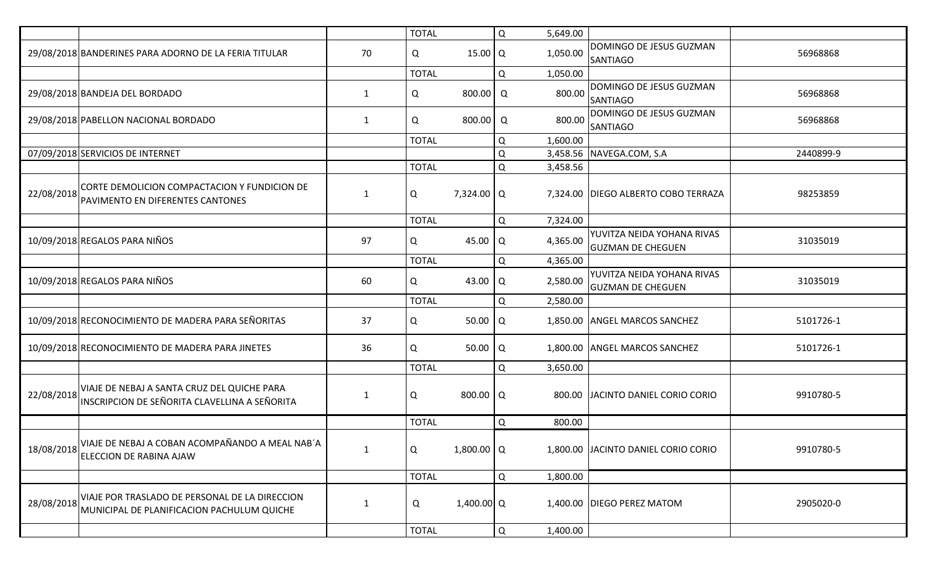|            |                                                                                              |              | <b>TOTAL</b> |                   | Q           | 5,649.00 |                                                        |           |
|------------|----------------------------------------------------------------------------------------------|--------------|--------------|-------------------|-------------|----------|--------------------------------------------------------|-----------|
|            | 29/08/2018 BANDERINES PARA ADORNO DE LA FERIA TITULAR                                        | 70           | Q            | 15.00   Q         |             | 1,050.00 | DOMINGO DE JESUS GUZMAN<br><b>SANTIAGO</b>             | 56968868  |
|            |                                                                                              |              | <b>TOTAL</b> |                   | Q           | 1,050.00 |                                                        |           |
|            | 29/08/2018 BANDEJA DEL BORDADO                                                               | 1            | Q            | 800.00            | Q           | 800.00   | DOMINGO DE JESUS GUZMAN<br><b>SANTIAGO</b>             | 56968868  |
|            | 29/08/2018 PABELLON NACIONAL BORDADO                                                         | 1            | Q            | 800.00 Q          |             | 800.00   | DOMINGO DE JESUS GUZMAN<br><b>SANTIAGO</b>             | 56968868  |
|            |                                                                                              |              | <b>TOTAL</b> |                   | Q           | 1,600.00 |                                                        |           |
|            | 07/09/2018 SERVICIOS DE INTERNET                                                             |              |              |                   | Q           |          | 3,458.56 NAVEGA.COM, S.A                               | 2440899-9 |
|            |                                                                                              |              | <b>TOTAL</b> |                   | Q           | 3,458.56 |                                                        |           |
| 22/08/2018 | CORTE DEMOLICION COMPACTACION Y FUNDICION DE<br>PAVIMENTO EN DIFERENTES CANTONES             | -1           | Q            | 7,324.00 Q        |             |          | 7,324.00 DIEGO ALBERTO COBO TERRAZA                    | 98253859  |
|            |                                                                                              |              | <b>TOTAL</b> |                   | Q           | 7,324.00 |                                                        |           |
|            | 10/09/2018 REGALOS PARA NIÑOS                                                                | 97           | Q            | 45.00 Q           |             | 4,365.00 | YUVITZA NEIDA YOHANA RIVAS<br><b>GUZMAN DE CHEGUEN</b> | 31035019  |
|            |                                                                                              |              | <b>TOTAL</b> |                   | Q           | 4,365.00 |                                                        |           |
|            | 10/09/2018 REGALOS PARA NIÑOS                                                                | 60           | Q            | 43.00             | ⊢I Q        | 2,580.00 | YUVITZA NEIDA YOHANA RIVAS<br><b>GUZMAN DE CHEGUEN</b> | 31035019  |
|            |                                                                                              |              | <b>TOTAL</b> |                   | Q           | 2,580.00 |                                                        |           |
|            | 10/09/2018 RECONOCIMIENTO DE MADERA PARA SEÑORITAS                                           | 37           | Q            | $50.00$ $\vert$ Q |             |          | 1,850.00 ANGEL MARCOS SANCHEZ                          | 5101726-1 |
|            | 10/09/2018 RECONOCIMIENTO DE MADERA PARA JINETES                                             | 36           | Q            | $50.00$ Q         |             |          | 1,800.00 ANGEL MARCOS SANCHEZ                          | 5101726-1 |
|            |                                                                                              |              | <b>TOTAL</b> |                   | Q           | 3,650.00 |                                                        |           |
| 22/08/2018 | VIAJE DE NEBAJ A SANTA CRUZ DEL QUICHE PARA<br>INSCRIPCION DE SEÑORITA CLAVELLINA A SEÑORITA | 1            | Q            | 800.00   Q        |             |          | 800.00 JACINTO DANIEL CORIO CORIO                      | 9910780-5 |
|            |                                                                                              |              | <b>TOTAL</b> |                   | Q           | 800.00   |                                                        |           |
| 18/08/2018 | VIAJE DE NEBAJ A COBAN ACOMPAÑANDO A MEAL NAB´A<br>ELECCION DE RABINA AJAW                   | $\mathbf{1}$ | Q            | $1,800.00$ Q      |             |          | 1,800.00 JACINTO DANIEL CORIO CORIO                    | 9910780-5 |
|            |                                                                                              |              | <b>TOTAL</b> |                   | Q           | 1,800.00 |                                                        |           |
| 28/08/2018 | VIAJE POR TRASLADO DE PERSONAL DE LA DIRECCION<br>MUNICIPAL DE PLANIFICACION PACHULUM QUICHE |              | Q            | $1,400.00$ Q      |             |          | 1,400.00 DIEGO PEREZ MATOM                             | 2905020-0 |
|            |                                                                                              |              | <b>TOTAL</b> |                   | $\mathsf Q$ | 1,400.00 |                                                        |           |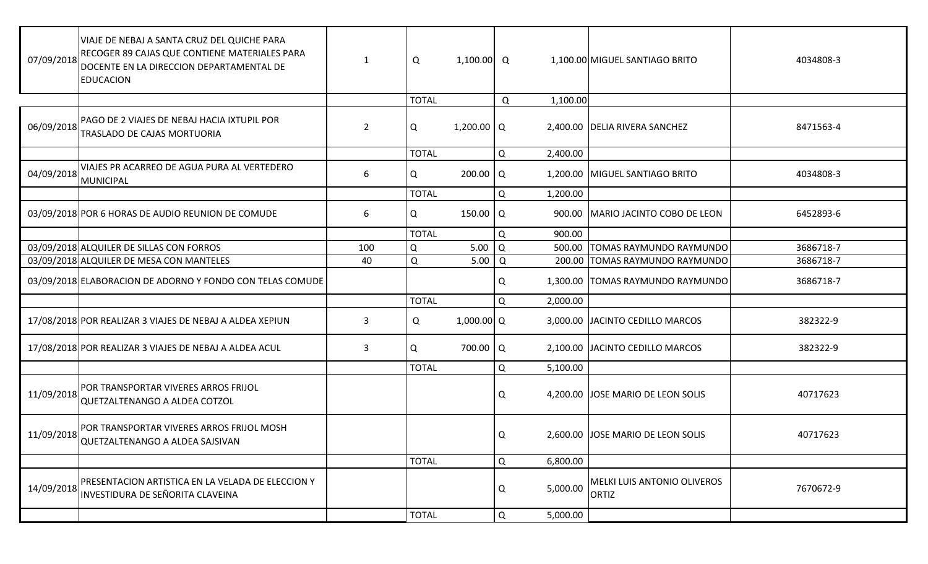| 07/09/2018 | VIAJE DE NEBAJ A SANTA CRUZ DEL QUICHE PARA<br>RECOGER 89 CAJAS QUE CONTIENE MATERIALES PARA<br>DOCENTE EN LA DIRECCION DEPARTAMENTAL DE<br><b>EDUCACION</b> | 1              | Q            | $1,100.00$ Q      |   |          | 1,100.00 MIGUEL SANTIAGO BRITO              | 4034808-3 |
|------------|--------------------------------------------------------------------------------------------------------------------------------------------------------------|----------------|--------------|-------------------|---|----------|---------------------------------------------|-----------|
|            |                                                                                                                                                              |                | <b>TOTAL</b> |                   | Q | 1,100.00 |                                             |           |
| 06/09/2018 | PAGO DE 2 VIAJES DE NEBAJ HACIA IXTUPIL POR<br>TRASLADO DE CAJAS MORTUORIA                                                                                   | $\overline{2}$ | Q            | $1,200.00$ Q      |   |          | 2,400.00 DELIA RIVERA SANCHEZ               | 8471563-4 |
|            |                                                                                                                                                              |                | <b>TOTAL</b> |                   | Q | 2,400.00 |                                             |           |
| 04/09/2018 | VIAJES PR ACARREO DE AGUA PURA AL VERTEDERO<br><b>MUNICIPAL</b>                                                                                              | 6              | Q            | 200.00   Q        |   |          | 1,200.00 MIGUEL SANTIAGO BRITO              | 4034808-3 |
|            |                                                                                                                                                              |                | <b>TOTAL</b> |                   | Q | 1,200.00 |                                             |           |
|            | 03/09/2018 POR 6 HORAS DE AUDIO REUNION DE COMUDE                                                                                                            | 6              | Q            | 150.00 $\sqrt{Q}$ |   |          | 900.00   MARIO JACINTO COBO DE LEON         | 6452893-6 |
|            |                                                                                                                                                              |                | <b>TOTAL</b> |                   | Q | 900.00   |                                             |           |
|            | 03/09/2018 ALQUILER DE SILLAS CON FORROS                                                                                                                     | 100            | Q            | 5.00              | Q | 500.00   | <b>TOMAS RAYMUNDO RAYMUNDO</b>              | 3686718-7 |
|            | 03/09/2018 ALQUILER DE MESA CON MANTELES                                                                                                                     | 40             | Q            | 5.00              | Q |          | 200.00 TOMAS RAYMUNDO RAYMUNDO              | 3686718-7 |
|            | 03/09/2018 ELABORACION DE ADORNO Y FONDO CON TELAS COMUDE                                                                                                    |                |              |                   | Q |          | 1,300.00   TOMAS RAYMUNDO RAYMUNDO          | 3686718-7 |
|            |                                                                                                                                                              |                | <b>TOTAL</b> |                   | Q | 2,000.00 |                                             |           |
|            | 17/08/2018 POR REALIZAR 3 VIAJES DE NEBAJ A ALDEA XEPIUN                                                                                                     | 3              | Q            | 1,000.00 Q        |   |          | 3,000.00 JACINTO CEDILLO MARCOS             | 382322-9  |
|            | 17/08/2018 POR REALIZAR 3 VIAJES DE NEBAJ A ALDEA ACUL                                                                                                       | 3              | Q            | 700.00   Q        |   |          | 2,100.00 JACINTO CEDILLO MARCOS             | 382322-9  |
|            |                                                                                                                                                              |                | <b>TOTAL</b> |                   | Q | 5,100.00 |                                             |           |
| 11/09/2018 | POR TRANSPORTAR VIVERES ARROS FRIJOL<br>QUETZALTENANGO A ALDEA COTZOL                                                                                        |                |              |                   | Q |          | 4,200.00 JJOSE MARIO DE LEON SOLIS          | 40717623  |
|            | POR TRANSPORTAR VIVERES ARROS FRIJOL MOSH<br>11/09/2018 QUETZALTENANGO A ALDEA SAJSIVAN                                                                      |                |              |                   | Q |          | 2,600.00 JJOSE MARIO DE LEON SOLIS          | 40717623  |
|            |                                                                                                                                                              |                | <b>TOTAL</b> |                   | Q | 6,800.00 |                                             |           |
| 14/09/2018 | PRESENTACION ARTISTICA EN LA VELADA DE ELECCION Y<br>INVESTIDURA DE SEÑORITA CLAVEINA                                                                        |                |              |                   | Q | 5,000.00 | MELKI LUIS ANTONIO OLIVEROS<br><b>ORTIZ</b> | 7670672-9 |
|            |                                                                                                                                                              |                | <b>TOTAL</b> |                   | Q | 5,000.00 |                                             |           |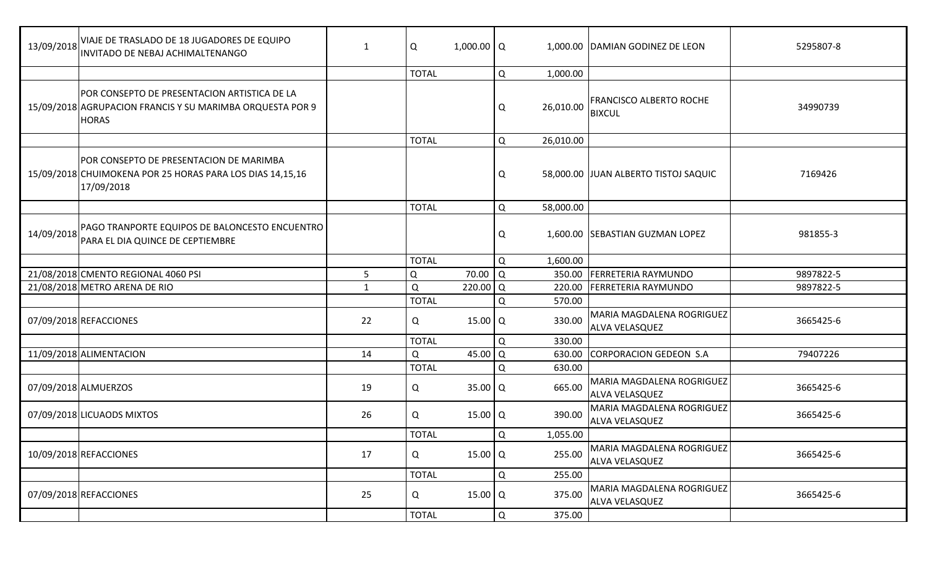| 13/09/2018 | VIAJE DE TRASLADO DE 18 JUGADORES DE EQUIPO<br>INVITADO DE NEBAJ ACHIMALTENANGO                                           | 1  | Q            | $1,000.00$ Q         |   |           | 1,000.00 DAMIAN GODINEZ DE LEON                    | 5295807-8 |
|------------|---------------------------------------------------------------------------------------------------------------------------|----|--------------|----------------------|---|-----------|----------------------------------------------------|-----------|
|            |                                                                                                                           |    | <b>TOTAL</b> |                      | Q | 1,000.00  |                                                    |           |
|            | POR CONSEPTO DE PRESENTACION ARTISTICA DE LA<br>15/09/2018 AGRUPACION FRANCIS Y SU MARIMBA ORQUESTA POR 9<br><b>HORAS</b> |    |              |                      | Q | 26,010.00 | <b>FRANCISCO ALBERTO ROCHE</b><br><b>BIXCUL</b>    | 34990739  |
|            |                                                                                                                           |    | <b>TOTAL</b> |                      | Q | 26,010.00 |                                                    |           |
|            | POR CONSEPTO DE PRESENTACION DE MARIMBA<br>15/09/2018 CHUIMOKENA POR 25 HORAS PARA LOS DIAS 14,15,16<br>17/09/2018        |    |              |                      | Q |           | 58,000.00 JJUAN ALBERTO TISTOJ SAQUIC              | 7169426   |
|            |                                                                                                                           |    | <b>TOTAL</b> |                      | Q | 58,000.00 |                                                    |           |
| 14/09/2018 | PAGO TRANPORTE EQUIPOS DE BALONCESTO ENCUENTRO<br>PARA EL DIA QUINCE DE CEPTIEMBRE                                        |    |              |                      | Q |           | 1,600.00 SEBASTIAN GUZMAN LOPEZ                    | 981855-3  |
|            |                                                                                                                           |    | <b>TOTAL</b> |                      | Q | 1,600.00  |                                                    |           |
|            | 21/08/2018 CMENTO REGIONAL 4060 PSI                                                                                       | 5  | Q            | 70.00                | Q | 350.00    | <b>FERRETERIA RAYMUNDO</b>                         | 9897822-5 |
|            | 21/08/2018 METRO ARENA DE RIO                                                                                             | 1  | Q            | 220.00               | Q | 220.00    | FERRETERIA RAYMUNDO                                | 9897822-5 |
|            |                                                                                                                           |    | <b>TOTAL</b> |                      | Q | 570.00    |                                                    |           |
|            | 07/09/2018 REFACCIONES                                                                                                    | 22 | Q            | $15.00$ Q            |   | 330.00    | MARIA MAGDALENA ROGRIGUEZ<br>ALVA VELASQUEZ        | 3665425-6 |
|            |                                                                                                                           |    | <b>TOTAL</b> |                      | Q | 330.00    |                                                    |           |
|            | 11/09/2018 ALIMENTACION                                                                                                   | 14 | Q            | 45.00                | Q | 630.00    | CORPORACION GEDEON S.A                             | 79407226  |
|            |                                                                                                                           |    | <b>TOTAL</b> |                      | Q | 630.00    |                                                    |           |
|            | 07/09/2018 ALMUERZOS                                                                                                      | 19 | Q            | $35.00$ Q            |   | 665.00    | MARIA MAGDALENA ROGRIGUEZ<br>ALVA VELASQUEZ        | 3665425-6 |
|            | 07/09/2018 LICUAODS MIXTOS                                                                                                | 26 | Q            | $15.00$ Q            |   | 390.00    | MARIA MAGDALENA ROGRIGUEZ<br><b>ALVA VELASQUEZ</b> | 3665425-6 |
|            |                                                                                                                           |    | <b>TOTAL</b> |                      | Q | 1,055.00  |                                                    |           |
|            | 10/09/2018 REFACCIONES                                                                                                    | 17 | Q            | $15.00$ Q            |   | 255.00    | MARIA MAGDALENA ROGRIGUEZ<br>ALVA VELASQUEZ        | 3665425-6 |
|            |                                                                                                                           |    | <b>TOTAL</b> |                      | Q | 255.00    |                                                    |           |
|            | 07/09/2018 REFACCIONES                                                                                                    | 25 | Q            | $15.00$ <sup>O</sup> |   | 375.00    | MARIA MAGDALENA ROGRIGUEZ<br>ALVA VELASQUEZ        | 3665425-6 |
|            |                                                                                                                           |    | <b>TOTAL</b> |                      | Q | 375.00    |                                                    |           |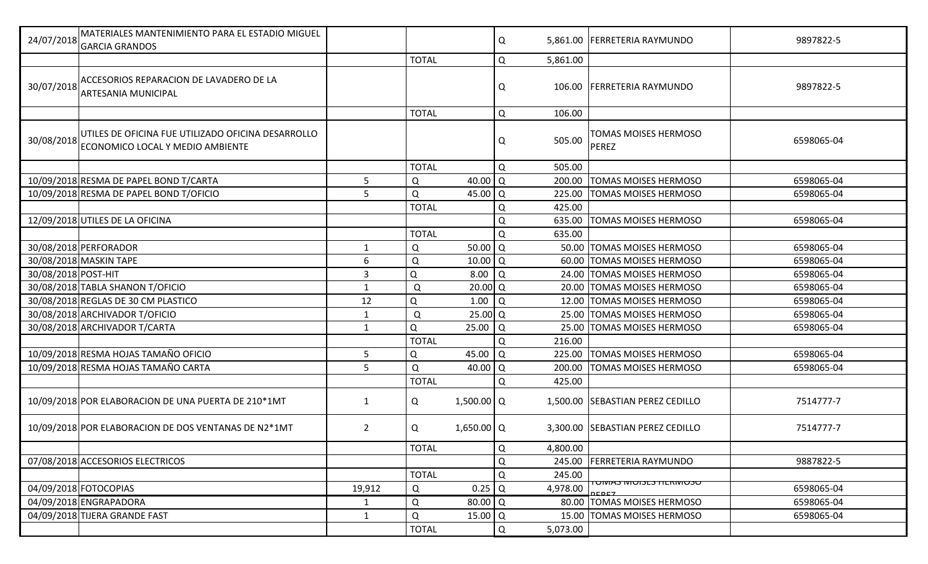| <b>GARCIA GRANDOS</b>                                                                                |                |              |                      | Q |          | 5,861.00 FERRETERIA RAYMUNDO               | 9897822-5  |
|------------------------------------------------------------------------------------------------------|----------------|--------------|----------------------|---|----------|--------------------------------------------|------------|
|                                                                                                      |                | <b>TOTAL</b> |                      | Q | 5,861.00 |                                            |            |
| ACCESORIOS REPARACION DE LAVADERO DE LA<br>30/07/2018<br>ARTESANIA MUNICIPAL                         |                |              |                      | Q | 106.00   | <b>FERRETERIA RAYMUNDO</b>                 | 9897822-5  |
|                                                                                                      |                | <b>TOTAL</b> |                      | Q | 106.00   |                                            |            |
| UTILES DE OFICINA FUE UTILIZADO OFICINA DESARROLLO<br>30/08/2018<br>ECONOMICO LOCAL Y MEDIO AMBIENTE |                |              |                      | Q | 505.00   | <b>TOMAS MOISES HERMOSO</b><br>PEREZ       | 6598065-04 |
|                                                                                                      |                | <b>TOTAL</b> |                      | Q | 505.00   |                                            |            |
| 10/09/2018 RESMA DE PAPEL BOND T/CARTA                                                               | 5              | Q            | 40.00                | Q | 200.00   | <b>TOMAS MOISES HERMOSO</b>                | 6598065-04 |
| 10/09/2018 RESMA DE PAPEL BOND T/OFICIO                                                              | 5              | Q            | 45.00                | Q | 225.00   | <b>TOMAS MOISES HERMOSO</b>                | 6598065-04 |
|                                                                                                      |                | <b>TOTAL</b> |                      | Q | 425.00   |                                            |            |
| 12/09/2018 UTILES DE LA OFICINA                                                                      |                |              |                      | Q | 635.00   | <b>TOMAS MOISES HERMOSO</b>                | 6598065-04 |
|                                                                                                      |                | <b>TOTAL</b> |                      | Q | 635.00   |                                            |            |
| 30/08/2018 PERFORADOR                                                                                | 1              | Q            | 50.00                | Q |          | 50.00 TOMAS MOISES HERMOSO                 | 6598065-04 |
| 30/08/2018 MASKIN TAPE                                                                               | 6              | Q            | 10.00                | Q |          | 60.00 TOMAS MOISES HERMOSO                 | 6598065-04 |
| 30/08/2018 POST-HIT                                                                                  | $\overline{3}$ | Q            | 8.00                 | Q |          | 24.00 TOMAS MOISES HERMOSO                 | 6598065-04 |
| 30/08/2018 TABLA SHANON T/OFICIO                                                                     | 1              | Q            | 20.00                | Q |          | 20.00 TOMAS MOISES HERMOSO                 | 6598065-04 |
| 30/08/2018 REGLAS DE 30 CM PLASTICO                                                                  | 12             | Q            | 1.00                 | Q |          | 12.00 TOMAS MOISES HERMOSO                 | 6598065-04 |
| 30/08/2018 ARCHIVADOR T/OFICIO                                                                       | 1              | Q            | $25.00$ Q            |   |          | 25.00 TOMAS MOISES HERMOSO                 | 6598065-04 |
| 30/08/2018 ARCHIVADOR T/CARTA                                                                        | $\mathbf{1}$   | Q            | 25.00                | Q |          | 25.00 TOMAS MOISES HERMOSO                 | 6598065-04 |
|                                                                                                      |                | <b>TOTAL</b> |                      | Q | 216.00   |                                            |            |
| 10/09/2018 RESMA HOJAS TAMAÑO OFICIO                                                                 | 5              | Q            | 45.00                | Q | 225.00   | <b>TOMAS MOISES HERMOSO</b>                | 6598065-04 |
| 10/09/2018 RESMA HOJAS TAMAÑO CARTA                                                                  | 5              | Q            | $40.00$ Q            |   | 200.00   | <b>TOMAS MOISES HERMOSO</b>                | 6598065-04 |
|                                                                                                      |                | <b>TOTAL</b> |                      | Q | 425.00   |                                            |            |
| 10/09/2018 POR ELABORACION DE UNA PUERTA DE 210*1MT                                                  | 1              | Q            | $1,500.00$ Q         |   |          | 1,500.00 SEBASTIAN PEREZ CEDILLO           | 7514777-7  |
| 10/09/2018 POR ELABORACION DE DOS VENTANAS DE N2*1MT                                                 | $\overline{2}$ | Q            | $1,650.00$ Q         |   |          | 3,300.00 SEBASTIAN PEREZ CEDILLO           | 7514777-7  |
|                                                                                                      |                | <b>TOTAL</b> |                      | Q | 4,800.00 |                                            |            |
| 07/08/2018 ACCESORIOS ELECTRICOS                                                                     |                |              |                      | Q | 245.00   | <b>FERRETERIA RAYMUNDO</b>                 | 9887822-5  |
|                                                                                                      |                | <b>TOTAL</b> |                      | Q | 245.00   |                                            |            |
| 04/09/2018 FOTOCOPIAS                                                                                | 19,912         | Q            | $0.25$ <sup>O</sup>  |   | 4,978.00 | <u> טכטועות כאכוטוען כאועוט ו</u><br>DCDCZ | 6598065-04 |
| 04/09/2018 ENGRAPADORA                                                                               | 1              | Q            | $80.00$ <sup>O</sup> |   |          | 80.00 TOMAS MOISES HERMOSO                 | 6598065-04 |
| 04/09/2018 TIJERA GRANDE FAST                                                                        | 1              | Q            | $15.00$ Q            |   | 15.00    | <b>TOMAS MOISES HERMOSO</b>                | 6598065-04 |
|                                                                                                      |                | <b>TOTAL</b> |                      | Q | 5,073.00 |                                            |            |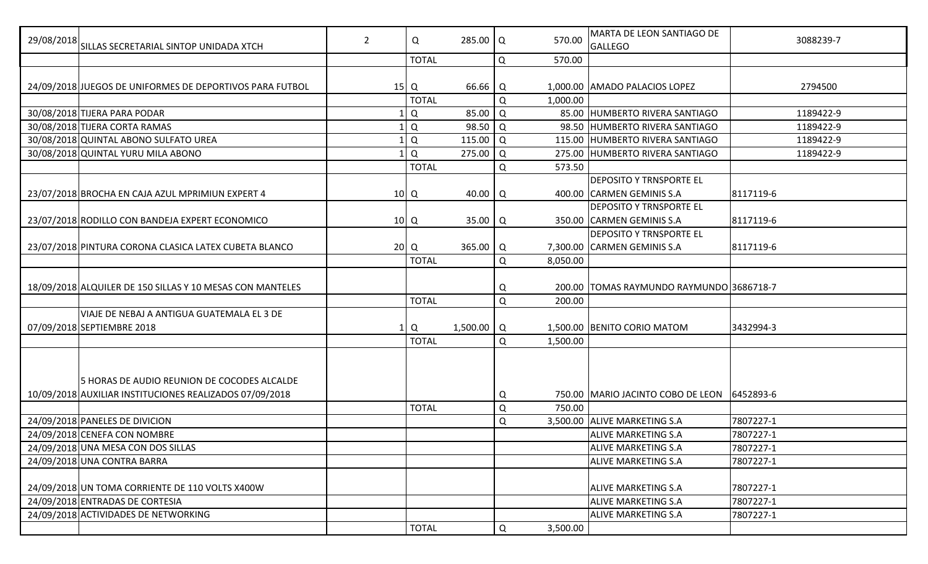| 29/08/2018 SILLAS SECRETARIAL SINTOP UNIDADA XTCH                                                      | $\overline{2}$ | Q               | 285.00   Q   |        | 570.00   | MARTA DE LEON SANTIAGO DE<br><b>GALLEGO</b> | 3088239-7 |
|--------------------------------------------------------------------------------------------------------|----------------|-----------------|--------------|--------|----------|---------------------------------------------|-----------|
|                                                                                                        |                | <b>TOTAL</b>    |              | Q      | 570.00   |                                             |           |
| 24/09/2018 JUEGOS DE UNIFORMES DE DEPORTIVOS PARA FUTBOL                                               |                | $15$   Q        | 66.66   Q    |        |          | 1,000.00 AMADO PALACIOS LOPEZ               | 2794500   |
|                                                                                                        |                | <b>TOTAL</b>    |              | Q      | 1,000.00 |                                             |           |
| 30/08/2018 TIJERA PARA PODAR                                                                           |                | Q               | 85.00        | Q      |          | 85.00 HUMBERTO RIVERA SANTIAGO              | 1189422-9 |
| 30/08/2018 TIJERA CORTA RAMAS                                                                          |                | Q               | 98.50        | Q      |          | 98.50 HUMBERTO RIVERA SANTIAGO              | 1189422-9 |
| 30/08/2018 QUINTAL ABONO SULFATO UREA                                                                  |                | Q               | 115.00       | l Q    |          | 115.00 HUMBERTO RIVERA SANTIAGO             | 1189422-9 |
| 30/08/2018 QUINTAL YURU MILA ABONO                                                                     |                | Q               | $275.00$ Q   |        |          | 275.00 HUMBERTO RIVERA SANTIAGO             | 1189422-9 |
|                                                                                                        |                | <b>TOTAL</b>    |              | Q      | 573.50   |                                             |           |
|                                                                                                        |                |                 |              |        |          | <b>DEPOSITO Y TRNSPORTE EL</b>              |           |
| 23/07/2018 BROCHA EN CAJA AZUL MPRIMIUN EXPERT 4                                                       |                | 10 <sup>2</sup> | 40.00        | Q      |          | 400.00 CARMEN GEMINIS S.A                   | 8117119-6 |
|                                                                                                        |                |                 |              |        |          | <b>DEPOSITO Y TRNSPORTE EL</b>              |           |
| 23/07/2018 RODILLO CON BANDEJA EXPERT ECONOMICO                                                        |                | 10 <sup>2</sup> | 35.00   Q    |        |          | 350.00 CARMEN GEMINIS S.A                   | 8117119-6 |
|                                                                                                        |                |                 |              |        |          | <b>DEPOSITO Y TRNSPORTE EL</b>              |           |
| 23/07/2018 PINTURA CORONA CLASICA LATEX CUBETA BLANCO                                                  |                | $20$ Q          | $365.00$ Q   |        |          | 7,300.00 CARMEN GEMINIS S.A                 | 8117119-6 |
|                                                                                                        |                | <b>TOTAL</b>    |              | Q      | 8,050.00 |                                             |           |
|                                                                                                        |                |                 |              |        |          |                                             |           |
| 18/09/2018 ALQUILER DE 150 SILLAS Y 10 MESAS CON MANTELES                                              |                |                 |              | Q      |          | 200.00 TOMAS RAYMUNDO RAYMUNDO 3686718-7    |           |
|                                                                                                        |                | <b>TOTAL</b>    |              | Q      | 200.00   |                                             |           |
| VIAJE DE NEBAJ A ANTIGUA GUATEMALA EL 3 DE                                                             |                |                 |              |        |          |                                             |           |
| 07/09/2018 SEPTIEMBRE 2018                                                                             |                | Q               | $1,500.00$ Q |        |          | 1,500.00 BENITO CORIO MATOM                 | 3432994-3 |
|                                                                                                        |                | <b>TOTAL</b>    |              | Q      | 1,500.00 |                                             |           |
|                                                                                                        |                |                 |              |        |          |                                             |           |
| 5 HORAS DE AUDIO REUNION DE COCODES ALCALDE<br>10/09/2018 AUXILIAR INSTITUCIONES REALIZADOS 07/09/2018 |                |                 |              |        |          | 750.00 MARIO JACINTO COBO DE LEON           | 6452893-6 |
|                                                                                                        |                | <b>TOTAL</b>    |              | Q<br>Q | 750.00   |                                             |           |
| 24/09/2018 PANELES DE DIVICION                                                                         |                |                 |              | Q      |          | 3,500.00 ALIVE MARKETING S.A                | 7807227-1 |
| 24/09/2018 CENEFA CON NOMBRE                                                                           |                |                 |              |        |          | <b>ALIVE MARKETING S.A</b>                  | 7807227-1 |
| 24/09/2018 UNA MESA CON DOS SILLAS                                                                     |                |                 |              |        |          | <b>ALIVE MARKETING S.A</b>                  | 7807227-1 |
| 24/09/2018 UNA CONTRA BARRA                                                                            |                |                 |              |        |          | <b>ALIVE MARKETING S.A</b>                  | 7807227-1 |
|                                                                                                        |                |                 |              |        |          |                                             |           |
| 24/09/2018 UN TOMA CORRIENTE DE 110 VOLTS X400W                                                        |                |                 |              |        |          | <b>ALIVE MARKETING S.A</b>                  | 7807227-1 |
| 24/09/2018 ENTRADAS DE CORTESIA                                                                        |                |                 |              |        |          | ALIVE MARKETING S.A                         | 7807227-1 |
| 24/09/2018 ACTIVIDADES DE NETWORKING                                                                   |                |                 |              |        |          | <b>ALIVE MARKETING S.A</b>                  | 7807227-1 |
|                                                                                                        |                | <b>TOTAL</b>    |              | Q      | 3,500.00 |                                             |           |